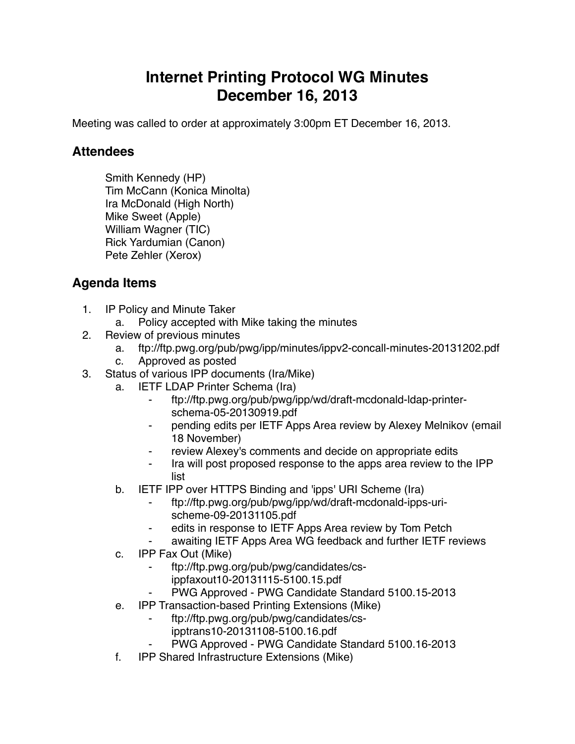## **Internet Printing Protocol WG Minutes December 16, 2013**

Meeting was called to order at approximately 3:00pm ET December 16, 2013.

## **Attendees**

Smith Kennedy (HP) Tim McCann (Konica Minolta) Ira McDonald (High North) Mike Sweet (Apple) William Wagner (TIC) Rick Yardumian (Canon) Pete Zehler (Xerox)

## **Agenda Items**

- 1. IP Policy and Minute Taker
	- a. Policy accepted with Mike taking the minutes
- 2. Review of previous minutes
	- a. ftp://ftp.pwg.org/pub/pwg/ipp/minutes/ippv2-concall-minutes-20131202.pdf
	- c. Approved as posted
- 3. Status of various IPP documents (Ira/Mike)
	- a. IETF LDAP Printer Schema (Ira)
		- ⁃ ftp://ftp.pwg.org/pub/pwg/ipp/wd/draft-mcdonald-ldap-printerschema-05-20130919.pdf
		- pending edits per IETF Apps Area review by Alexey Melnikov (email 18 November)
		- review Alexey's comments and decide on appropriate edits
		- Ira will post proposed response to the apps area review to the IPP list
	- b. IETF IPP over HTTPS Binding and 'ipps' URI Scheme (Ira)
		- ⁃ ftp://ftp.pwg.org/pub/pwg/ipp/wd/draft-mcdonald-ipps-urischeme-09-20131105.pdf
		- edits in response to IETF Apps Area review by Tom Petch
		- awaiting IETF Apps Area WG feedback and further IETF reviews
	- c. IPP Fax Out (Mike)
		- ⁃ ftp://ftp.pwg.org/pub/pwg/candidates/csippfaxout10-20131115-5100.15.pdf
			- PWG Approved PWG Candidate Standard 5100.15-2013
	- e. IPP Transaction-based Printing Extensions (Mike)
		- ⁃ ftp://ftp.pwg.org/pub/pwg/candidates/csipptrans10-20131108-5100.16.pdf
		- PWG Approved PWG Candidate Standard 5100.16-2013
	- f. IPP Shared Infrastructure Extensions (Mike)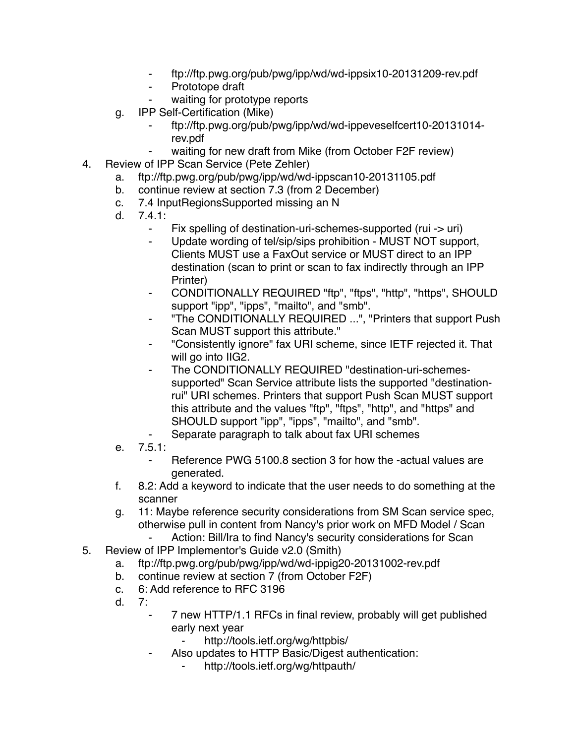- ⁃ ftp://ftp.pwg.org/pub/pwg/ipp/wd/wd-ippsix10-20131209-rev.pdf
- ⁃ Prototope draft
- waiting for prototype reports
- g. IPP Self-Certification (Mike)
	- ⁃ ftp://ftp.pwg.org/pub/pwg/ipp/wd/wd-ippeveselfcert10-20131014 rev.pdf
		- waiting for new draft from Mike (from October F2F review)
- 4. Review of IPP Scan Service (Pete Zehler)
	- a. ftp://ftp.pwg.org/pub/pwg/ipp/wd/wd-ippscan10-20131105.pdf
	- b. continue review at section 7.3 (from 2 December)
	- c. 7.4 InputRegionsSupported missing an N
	- d. 7.4.1:
		- Fix spelling of destination-uri-schemes-supported (rui -> uri)
		- ⁃ Update wording of tel/sip/sips prohibition MUST NOT support, Clients MUST use a FaxOut service or MUST direct to an IPP destination (scan to print or scan to fax indirectly through an IPP Printer)
		- ⁃ CONDITIONALLY REQUIRED "ftp", "ftps", "http", "https", SHOULD support "ipp", "ipps", "mailto", and "smb".
		- ⁃ "The CONDITIONALLY REQUIRED ...", "Printers that support Push Scan MUST support this attribute."
		- ⁃ "Consistently ignore" fax URI scheme, since IETF rejected it. That will go into IIG2.
		- The CONDITIONALLY REQUIRED "destination-uri-schemessupported" Scan Service attribute lists the supported "destinationrui" URI schemes. Printers that support Push Scan MUST support this attribute and the values "ftp", "ftps", "http", and "https" and SHOULD support "ipp", "ipps", "mailto", and "smb".
		- Separate paragraph to talk about fax URI schemes
	- e. 7.5.1:
		- Reference PWG 5100.8 section 3 for how the -actual values are generated.
	- f. 8.2: Add a keyword to indicate that the user needs to do something at the scanner
	- g. 11: Maybe reference security considerations from SM Scan service spec, otherwise pull in content from Nancy's prior work on MFD Model / Scan
		- Action: Bill/Ira to find Nancy's security considerations for Scan
- 5. Review of IPP Implementor's Guide v2.0 (Smith)
	- a. ftp://ftp.pwg.org/pub/pwg/ipp/wd/wd-ippig20-20131002-rev.pdf
	- b. continue review at section 7 (from October F2F)
	- c. 6: Add reference to RFC 3196
	- d. 7:
- 7 new HTTP/1.1 RFCs in final review, probably will get published early next year
	- http://tools.ietf.org/wg/httpbis/
- Also updates to HTTP Basic/Digest authentication:
	- http://tools.ietf.org/wg/httpauth/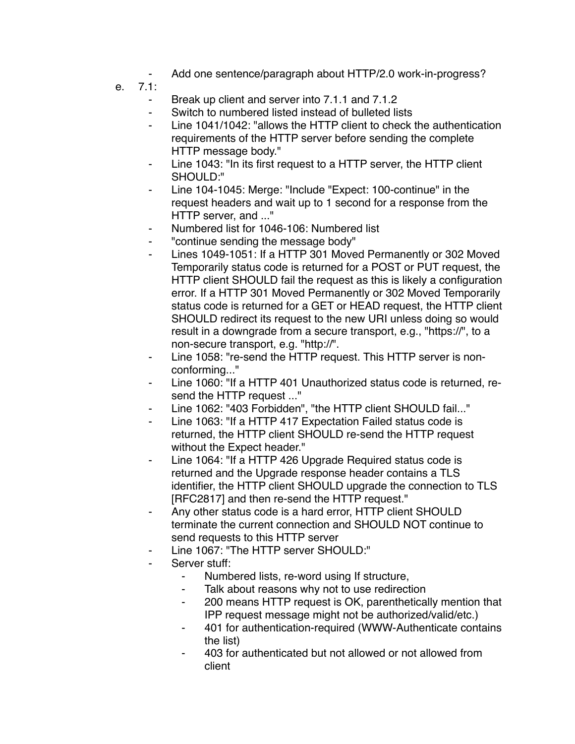- Add one sentence/paragraph about HTTP/2.0 work-in-progress?
- e. 7.1:
	- Break up client and server into 7.1.1 and 7.1.2
	- Switch to numbered listed instead of bulleted lists
	- Line 1041/1042: "allows the HTTP client to check the authentication requirements of the HTTP server before sending the complete HTTP message body."
	- Line 1043: "In its first request to a HTTP server, the HTTP client SHOULD:"
	- Line 104-1045: Merge: "Include "Expect: 100-continue" in the request headers and wait up to 1 second for a response from the HTTP server, and ..."
	- Numbered list for 1046-106: Numbered list
	- ⁃ "continue sending the message body"
	- Lines 1049-1051: If a HTTP 301 Moved Permanently or 302 Moved Temporarily status code is returned for a POST or PUT request, the HTTP client SHOULD fail the request as this is likely a configuration error. If a HTTP 301 Moved Permanently or 302 Moved Temporarily status code is returned for a GET or HEAD request, the HTTP client SHOULD redirect its request to the new URI unless doing so would result in a downgrade from a secure transport, e.g., "https://", to a non-secure transport, e.g. "http://".
	- Line 1058: "re-send the HTTP request. This HTTP server is nonconforming..."
	- Line 1060: "If a HTTP 401 Unauthorized status code is returned, resend the HTTP request ..."
	- Line 1062: "403 Forbidden", "the HTTP client SHOULD fail..."
	- Line 1063: "If a HTTP 417 Expectation Failed status code is returned, the HTTP client SHOULD re-send the HTTP request without the Expect header."
	- ⁃ Line 1064: "If a HTTP 426 Upgrade Required status code is returned and the Upgrade response header contains a TLS identifier, the HTTP client SHOULD upgrade the connection to TLS [RFC2817] and then re-send the HTTP request."
	- Any other status code is a hard error, HTTP client SHOULD terminate the current connection and SHOULD NOT continue to send requests to this HTTP server
	- Line 1067: "The HTTP server SHOULD:"
	- Server stuff:
		- Numbered lists, re-word using If structure,
		- Talk about reasons why not to use redirection
		- ⁃ 200 means HTTP request is OK, parenthetically mention that IPP request message might not be authorized/valid/etc.)
		- ⁃ 401 for authentication-required (WWW-Authenticate contains the list)
		- ⁃ 403 for authenticated but not allowed or not allowed from client